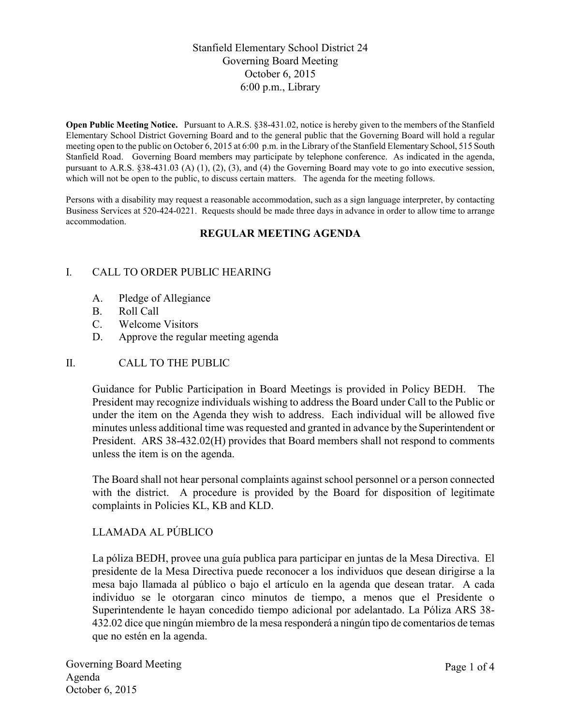# Stanfield Elementary School District 24 Governing Board Meeting October 6, 2015 6:00 p.m., Library

**Open Public Meeting Notice.** Pursuant to A.R.S. §38-431.02, notice is hereby given to the members of the Stanfield Elementary School District Governing Board and to the general public that the Governing Board will hold a regular meeting open to the public on October 6, 2015 at 6:00 p.m. in the Library of the Stanfield Elementary School, 515 South Stanfield Road. Governing Board members may participate by telephone conference. As indicated in the agenda, pursuant to A.R.S. §38-431.03 (A) (1), (2), (3), and (4) the Governing Board may vote to go into executive session, which will not be open to the public, to discuss certain matters. The agenda for the meeting follows.

Persons with a disability may request a reasonable accommodation, such as a sign language interpreter, by contacting Business Services at 520-424-0221. Requests should be made three days in advance in order to allow time to arrange accommodation.

## **REGULAR MEETING AGENDA**

## I. CALL TO ORDER PUBLIC HEARING

- A. Pledge of Allegiance
- B. Roll Call
- C. Welcome Visitors
- D. Approve the regular meeting agenda

#### II. CALL TO THE PUBLIC

Guidance for Public Participation in Board Meetings is provided in Policy BEDH. The President may recognize individuals wishing to address the Board under Call to the Public or under the item on the Agenda they wish to address. Each individual will be allowed five minutes unless additional time was requested and granted in advance by the Superintendent or President. ARS 38-432.02(H) provides that Board members shall not respond to comments unless the item is on the agenda.

The Board shall not hear personal complaints against school personnel or a person connected with the district. A procedure is provided by the Board for disposition of legitimate complaints in Policies KL, KB and KLD.

# LLAMADA AL PÚBLICO

La póliza BEDH, provee una guía publica para participar en juntas de la Mesa Directiva. El presidente de la Mesa Directiva puede reconocer a los individuos que desean dirigirse a la mesa bajo llamada al público o bajo el artículo en la agenda que desean tratar. A cada individuo se le otorgaran cinco minutos de tiempo, a menos que el Presidente o Superintendente le hayan concedido tiempo adicional por adelantado. La Póliza ARS 38- 432.02 dice que ningún miembro de la mesa responderá a ningún tipo de comentarios de temas que no estén en la agenda.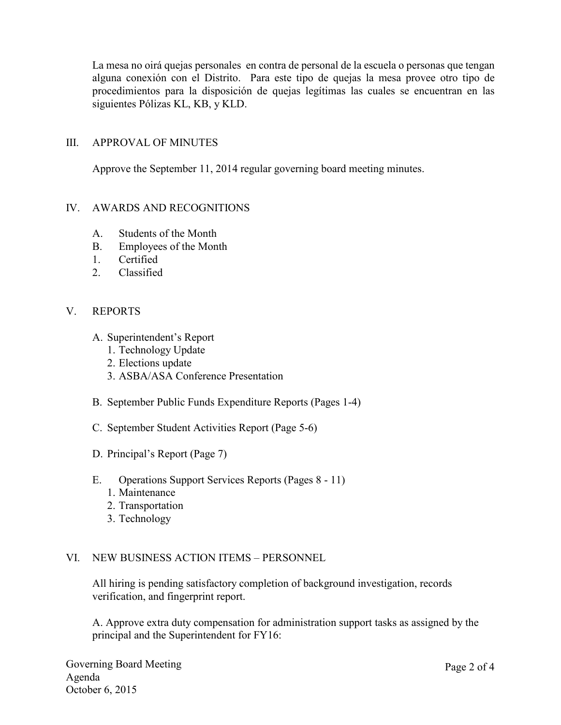La mesa no oirá quejas personales en contra de personal de la escuela o personas que tengan alguna conexión con el Distrito. Para este tipo de quejas la mesa provee otro tipo de procedimientos para la disposición de quejas legítimas las cuales se encuentran en las siguientes Pólizas KL, KB, y KLD.

## III. APPROVAL OF MINUTES

Approve the September 11, 2014 regular governing board meeting minutes.

## IV. AWARDS AND RECOGNITIONS

- A. Students of the Month
- B. Employees of the Month
- 1. Certified
- 2. Classified

## V. REPORTS

- A. Superintendent's Report
	- 1. Technology Update
	- 2. Elections update
	- 3. ASBA/ASA Conference Presentation
- B. September Public Funds Expenditure Reports (Pages 1-4)
- C. September Student Activities Report (Page 5-6)
- D. Principal's Report (Page 7)
- E. Operations Support Services Reports (Pages 8 11)
	- 1. Maintenance
	- 2. Transportation
	- 3. Technology

#### VI. NEW BUSINESS ACTION ITEMS – PERSONNEL

All hiring is pending satisfactory completion of background investigation, records verification, and fingerprint report.

A. Approve extra duty compensation for administration support tasks as assigned by the principal and the Superintendent for FY16: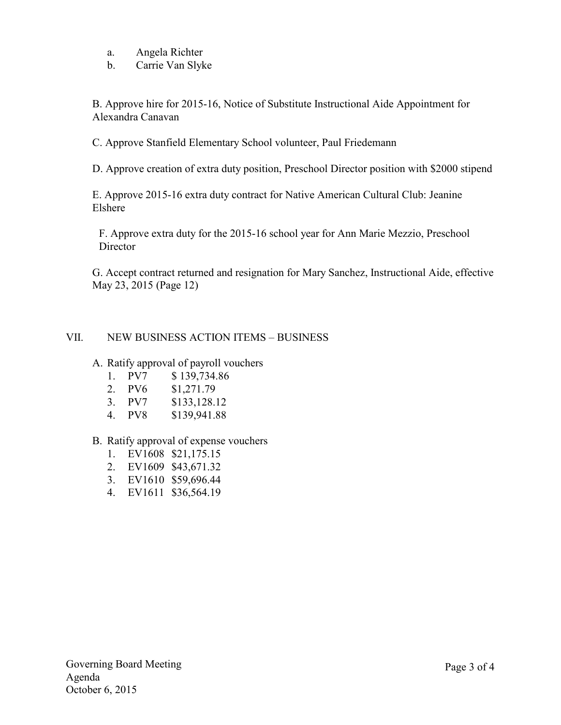- a. Angela Richter
- b. Carrie Van Slyke

B. Approve hire for 2015-16, Notice of Substitute Instructional Aide Appointment for Alexandra Canavan

C. Approve Stanfield Elementary School volunteer, Paul Friedemann

D. Approve creation of extra duty position, Preschool Director position with \$2000 stipend

E. Approve 2015-16 extra duty contract for Native American Cultural Club: Jeanine Elshere

F. Approve extra duty for the 2015-16 school year for Ann Marie Mezzio, Preschool **Director** 

G. Accept contract returned and resignation for Mary Sanchez, Instructional Aide, effective May 23, 2015 (Page 12)

## VII. NEW BUSINESS ACTION ITEMS – BUSINESS

#### A. Ratify approval of payroll vouchers

- 1. PV7 \$ 139,734.86
- 2. PV6 \$1,271.79
- 3. PV7 \$133,128.12
- 4. PV8 \$139,941.88

#### B. Ratify approval of expense vouchers

- 1. EV1608 \$21,175.15
- 2. EV1609 \$43,671.32
- 3. EV1610 \$59,696.44
- 4. EV1611 \$36,564.19